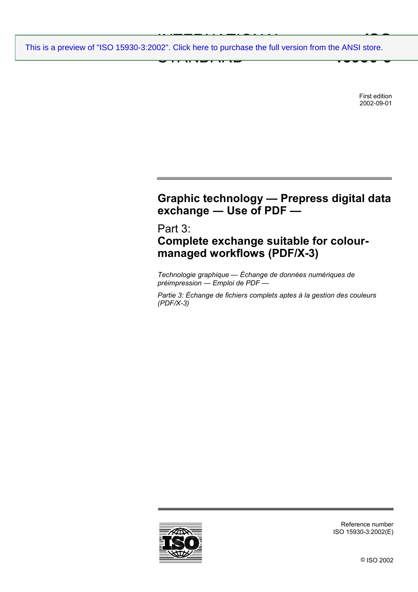INTERNATIONAL PRODUCT CONTROL CONTROL CONTROL CONTROL CONTROL CONTROL CONTROL CONTROL CONTROL CONTROL CONTROL CONTROL CONTROL CONTROL CONTROL CONTROL CONTROL CONTROL CONTROL CONTROL CONTROL CONTROL CONTROL CONTROL CONTROL STANDARD **ISO 19999-3** [This is a preview of "ISO 15930-3:2002". Click here to purchase the full version from the ANSI store.](http://webstore.ansi.org/RecordDetail.aspx?sku=ISO%2015930-3:2002&source=preview)

> First edition 2002-09-01

# **Graphic technology — Prepress digital data exchange ― Use of PDF —**

# Part 3: **Complete exchange suitable for colourmanaged workflows (PDF/X-3)**

*Technologie graphique — Échange de données numériques de préimpression ― Emploi de PDF —* 

*Partie 3: Échange de fichiers complets aptes à la gestion des couleurs (PDF/X-3)* 



Reference number ISO 15930-3:2002(E)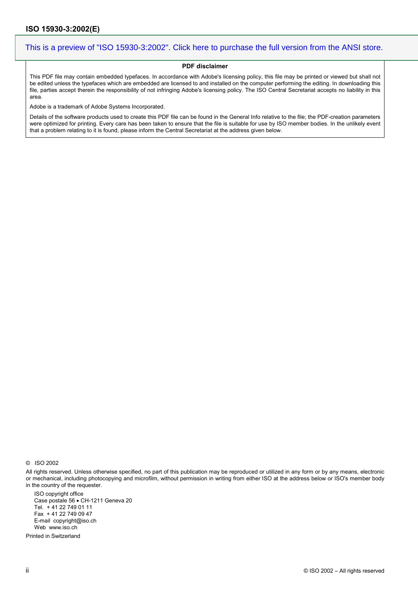#### **PDF disclaimer**

This PDF file may contain embedded typefaces. In accordance with Adobe's licensing policy, this file may be printed or viewed but shall not be edited unless the typefaces which are embedded are licensed to and installed on the computer performing the editing. In downloading this file, parties accept therein the responsibility of not infringing Adobe's licensing policy. The ISO Central Secretariat accepts no liability in this area.

Adobe is a trademark of Adobe Systems Incorporated.

Details of the software products used to create this PDF file can be found in the General Info relative to the file; the PDF-creation parameters were optimized for printing. Every care has been taken to ensure that the file is suitable for use by ISO member bodies. In the unlikely event that a problem relating to it is found, please inform the Central Secretariat at the address given below.

© ISO 2002

All rights reserved. Unless otherwise specified, no part of this publication may be reproduced or utilized in any form or by any means, electronic or mechanical, including photocopying and microfilm, without permission in writing from either ISO at the address below or ISO's member body in the country of the requester.

ISO copyright office Case postale 56 • CH-1211 Geneva 20 Tel. + 41 22 749 01 11 Fax + 41 22 749 09 47 E-mail copyright@iso.ch Web www.iso.ch

Printed in Switzerland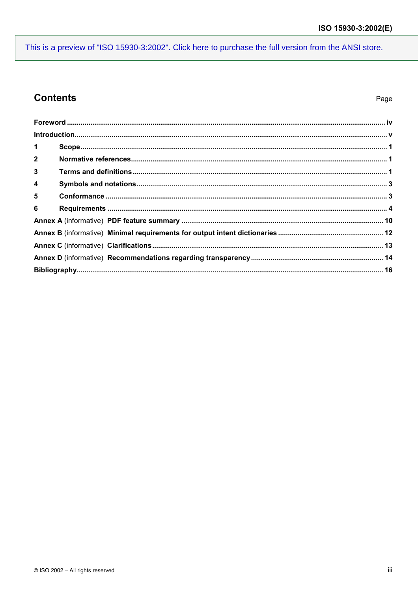## **Contents**

| $\mathbf 1$             |  |  |
|-------------------------|--|--|
| $\overline{2}$          |  |  |
| $\mathbf{3}$            |  |  |
| $\overline{\mathbf{4}}$ |  |  |
| $5\phantom{1}$          |  |  |
| 6                       |  |  |
|                         |  |  |
|                         |  |  |
|                         |  |  |
|                         |  |  |
|                         |  |  |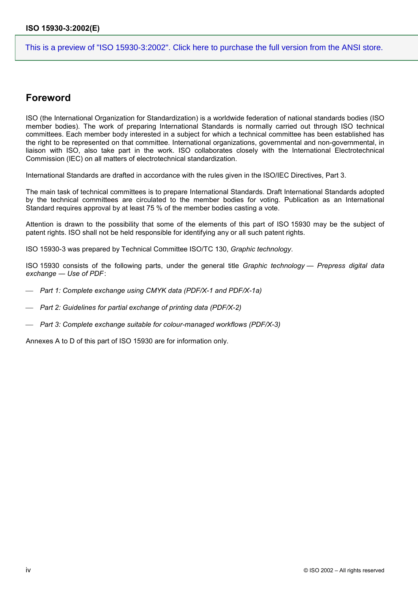## **Foreword**

ISO (the International Organization for Standardization) is a worldwide federation of national standards bodies (ISO member bodies). The work of preparing International Standards is normally carried out through ISO technical committees. Each member body interested in a subject for which a technical committee has been established has the right to be represented on that committee. International organizations, governmental and non-governmental, in liaison with ISO, also take part in the work. ISO collaborates closely with the International Electrotechnical Commission (IEC) on all matters of electrotechnical standardization.

International Standards are drafted in accordance with the rules given in the ISO/IEC Directives, Part 3.

The main task of technical committees is to prepare International Standards. Draft International Standards adopted by the technical committees are circulated to the member bodies for voting. Publication as an International Standard requires approval by at least 75 % of the member bodies casting a vote.

Attention is drawn to the possibility that some of the elements of this part of ISO 15930 may be the subject of patent rights. ISO shall not be held responsible for identifying any or all such patent rights.

ISO 15930-3 was prepared by Technical Committee ISO/TC 130, *Graphic technology*.

ISO 15930 consists of the following parts, under the general title *Graphic technology — Prepress digital data exchange ― Use of PDF*:

- *Part 1: Complete exchange using CMYK data (PDF/X-1 and PDF/X-1a)*
- *Part 2: Guidelines for partial exchange of printing data (PDF/X-2)*
- *Part 3: Complete exchange suitable for colour-managed workflows (PDF/X-3)*

Annexes A to D of this part of ISO 15930 are for information only.